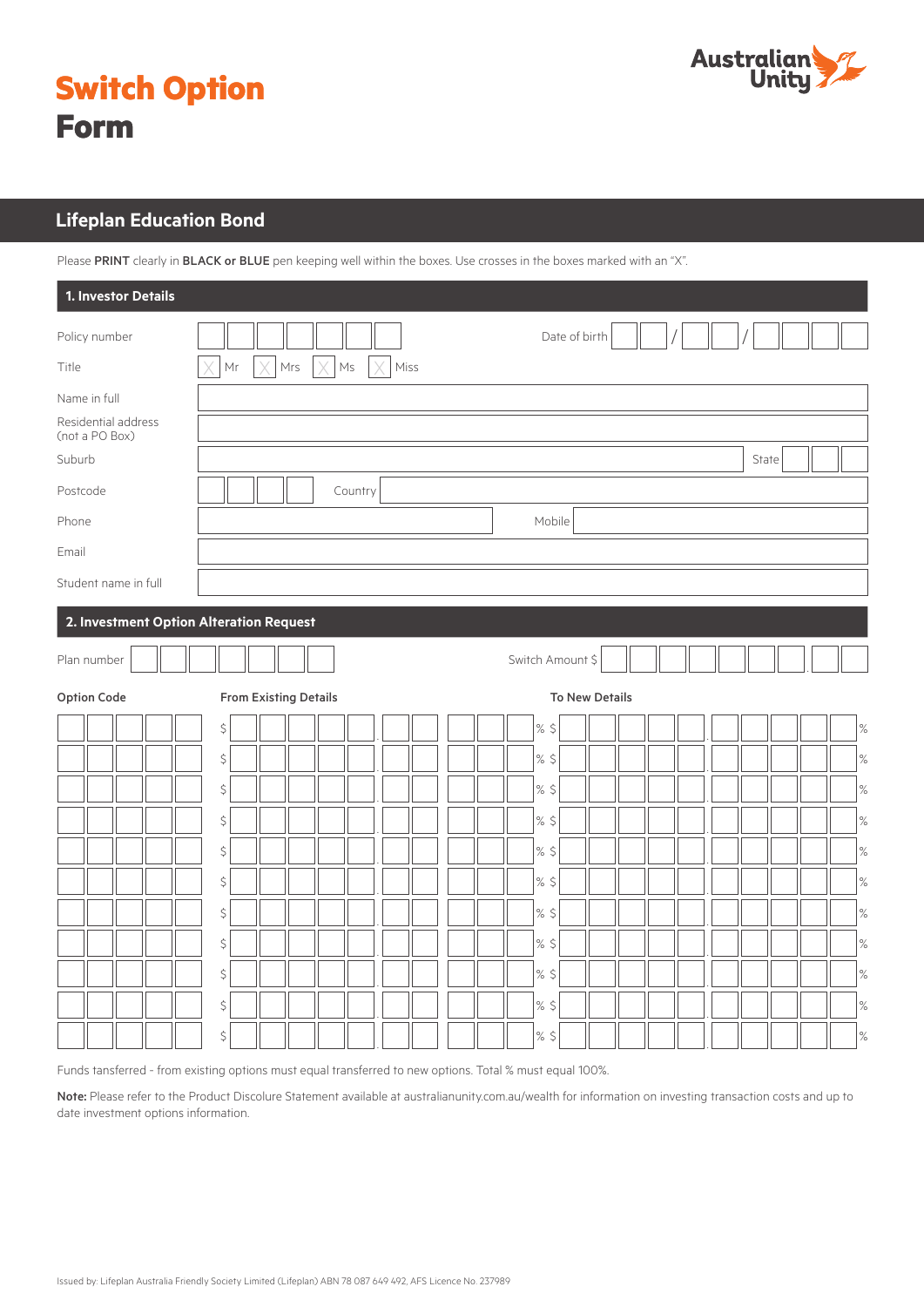

|             | <b>Switch Option</b> |
|-------------|----------------------|
| <b>Form</b> |                      |

# **Lifeplan Education Bond Lifeplan Education Bond**

Please PRINT clearly in BLACK or BLUE pen keeping well within the boxes. Use crosses in the boxes marked with an "X".

| 1. Investor Details                     |                                                                     |                   |
|-----------------------------------------|---------------------------------------------------------------------|-------------------|
| Policy number                           |                                                                     | Date of birth     |
| Title                                   | $\mathsf{Mr}$<br>Mrs<br>X<br>$\times$<br>$\mathsf{Ms}$<br>Miss<br>X |                   |
| Name in full                            |                                                                     |                   |
| Residential address<br>(not a PO Box)   |                                                                     |                   |
| Suburb                                  |                                                                     | State             |
| Postcode                                | Country                                                             |                   |
| Phone                                   |                                                                     | Mobile            |
| Email                                   |                                                                     |                   |
| Student name in full                    |                                                                     |                   |
| 2. Investment Option Alteration Request |                                                                     |                   |
| Plan number                             |                                                                     | Switch Amount \$  |
| Option Code                             | <b>From Existing Details</b>                                        | To New Details    |
|                                         | \$                                                                  | % $\zeta$<br>$\%$ |
|                                         | \$                                                                  | $%$ \$<br>$\%$    |
|                                         | \$                                                                  | $\%$<br>$\%$ \$   |
|                                         | \$                                                                  | $%$ \$<br>$\%$    |
|                                         | \$                                                                  | $\%$<br>$%$ \$    |
|                                         | \$                                                                  | $%$ \$<br>$\%$    |
|                                         | $\zeta$                                                             | $\%$ \$<br>$\%$   |
|                                         | \$                                                                  | $%$ \$<br>$\%$    |
|                                         | \$                                                                  | $\%$<br>$%$ \$    |
|                                         | \$                                                                  | $\%$<br>$%$ \$    |
|                                         | \$                                                                  | $\%$ \$<br>$\%$   |

Funds tansferred - from existing options must equal transferred to new options. Total % must equal 100%.

Note: Please refer to the Product Discolure Statement available at australianunity.com.au/wealth for information on investing transaction costs and up to date investment options information.